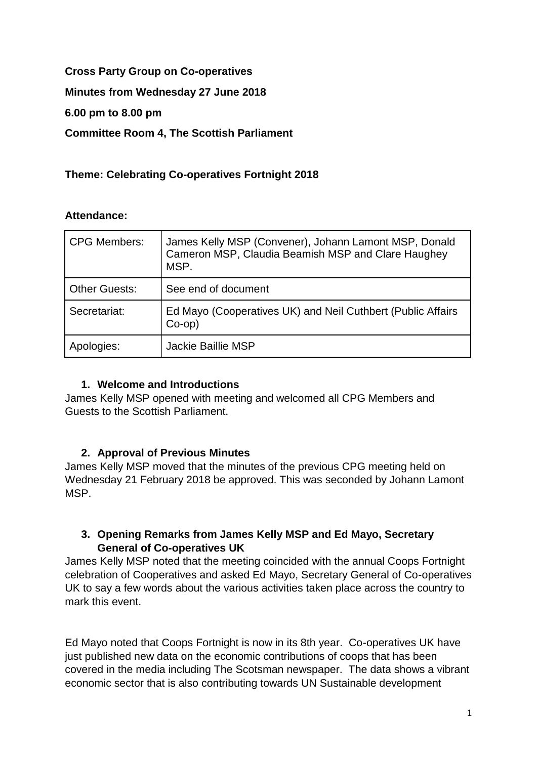# **Cross Party Group on Co-operatives**

**Minutes from Wednesday 27 June 2018**

**6.00 pm to 8.00 pm**

**Committee Room 4, The Scottish Parliament**

## **Theme: Celebrating Co-operatives Fortnight 2018**

### **Attendance:**

| <b>CPG Members:</b>  | James Kelly MSP (Convener), Johann Lamont MSP, Donald<br>Cameron MSP, Claudia Beamish MSP and Clare Haughey<br>MSP. |
|----------------------|---------------------------------------------------------------------------------------------------------------------|
| <b>Other Guests:</b> | See end of document                                                                                                 |
| Secretariat:         | Ed Mayo (Cooperatives UK) and Neil Cuthbert (Public Affairs<br>$Co$ -op)                                            |
| Apologies:           | Jackie Baillie MSP                                                                                                  |

### **1. Welcome and Introductions**

James Kelly MSP opened with meeting and welcomed all CPG Members and Guests to the Scottish Parliament.

## **2. Approval of Previous Minutes**

James Kelly MSP moved that the minutes of the previous CPG meeting held on Wednesday 21 February 2018 be approved. This was seconded by Johann Lamont MSP.

## **3. Opening Remarks from James Kelly MSP and Ed Mayo, Secretary General of Co-operatives UK**

James Kelly MSP noted that the meeting coincided with the annual Coops Fortnight celebration of Cooperatives and asked Ed Mayo, Secretary General of Co-operatives UK to say a few words about the various activities taken place across the country to mark this event.

Ed Mayo noted that Coops Fortnight is now in its 8th year. Co-operatives UK have just published new data on the economic contributions of coops that has been covered in the media including The Scotsman newspaper. The data shows a vibrant economic sector that is also contributing towards UN Sustainable development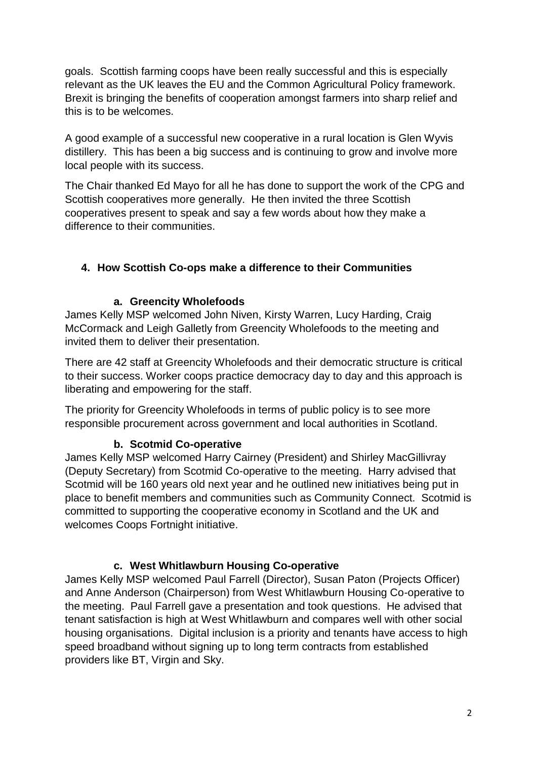goals. Scottish farming coops have been really successful and this is especially relevant as the UK leaves the EU and the Common Agricultural Policy framework. Brexit is bringing the benefits of cooperation amongst farmers into sharp relief and this is to be welcomes.

A good example of a successful new cooperative in a rural location is Glen Wyvis distillery. This has been a big success and is continuing to grow and involve more local people with its success.

The Chair thanked Ed Mayo for all he has done to support the work of the CPG and Scottish cooperatives more generally. He then invited the three Scottish cooperatives present to speak and say a few words about how they make a difference to their communities.

## **4. How Scottish Co-ops make a difference to their Communities**

### **a. Greencity Wholefoods**

James Kelly MSP welcomed John Niven, Kirsty Warren, Lucy Harding, Craig McCormack and Leigh Galletly from Greencity Wholefoods to the meeting and invited them to deliver their presentation.

There are 42 staff at Greencity Wholefoods and their democratic structure is critical to their success. Worker coops practice democracy day to day and this approach is liberating and empowering for the staff.

The priority for Greencity Wholefoods in terms of public policy is to see more responsible procurement across government and local authorities in Scotland.

### **b. Scotmid Co-operative**

James Kelly MSP welcomed Harry Cairney (President) and Shirley MacGillivray (Deputy Secretary) from Scotmid Co-operative to the meeting. Harry advised that Scotmid will be 160 years old next year and he outlined new initiatives being put in place to benefit members and communities such as Community Connect. Scotmid is committed to supporting the cooperative economy in Scotland and the UK and welcomes Coops Fortnight initiative.

### **c. West Whitlawburn Housing Co-operative**

James Kelly MSP welcomed Paul Farrell (Director), Susan Paton (Projects Officer) and Anne Anderson (Chairperson) from West Whitlawburn Housing Co-operative to the meeting. Paul Farrell gave a presentation and took questions. He advised that tenant satisfaction is high at West Whitlawburn and compares well with other social housing organisations. Digital inclusion is a priority and tenants have access to high speed broadband without signing up to long term contracts from established providers like BT, Virgin and Sky.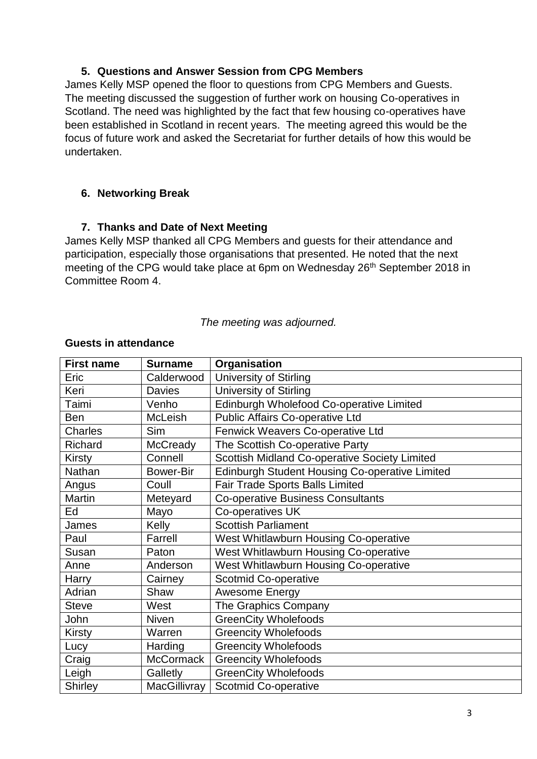#### **5. Questions and Answer Session from CPG Members**

James Kelly MSP opened the floor to questions from CPG Members and Guests. The meeting discussed the suggestion of further work on housing Co-operatives in Scotland. The need was highlighted by the fact that few housing co-operatives have been established in Scotland in recent years. The meeting agreed this would be the focus of future work and asked the Secretariat for further details of how this would be undertaken.

#### **6. Networking Break**

#### **7. Thanks and Date of Next Meeting**

James Kelly MSP thanked all CPG Members and guests for their attendance and participation, especially those organisations that presented. He noted that the next meeting of the CPG would take place at 6pm on Wednesday 26<sup>th</sup> September 2018 in Committee Room 4.

#### *The meeting was adjourned.*

| <b>First name</b> | <b>Surname</b>   | Organisation                                   |
|-------------------|------------------|------------------------------------------------|
| Eric              | Calderwood       | University of Stirling                         |
| Keri              | <b>Davies</b>    | <b>University of Stirling</b>                  |
| Taimi             | Venho            | Edinburgh Wholefood Co-operative Limited       |
| <b>Ben</b>        | McLeish          | Public Affairs Co-operative Ltd                |
| Charles           | <b>Sim</b>       | Fenwick Weavers Co-operative Ltd               |
| Richard           | <b>McCready</b>  | The Scottish Co-operative Party                |
| <b>Kirsty</b>     | Connell          | Scottish Midland Co-operative Society Limited  |
| Nathan            | <b>Bower-Bir</b> | Edinburgh Student Housing Co-operative Limited |
| Angus             | Coull            | <b>Fair Trade Sports Balls Limited</b>         |
| <b>Martin</b>     | Meteyard         | <b>Co-operative Business Consultants</b>       |
| Ed                | Mayo             | Co-operatives UK                               |
| James             | Kelly            | <b>Scottish Parliament</b>                     |
| Paul              | Farrell          | West Whitlawburn Housing Co-operative          |
| Susan             | Paton            | West Whitlawburn Housing Co-operative          |
| Anne              | Anderson         | West Whitlawburn Housing Co-operative          |
| Harry             | Cairney          | <b>Scotmid Co-operative</b>                    |
| Adrian            | Shaw             | Awesome Energy                                 |
| <b>Steve</b>      | West             | The Graphics Company                           |
| John              | <b>Niven</b>     | <b>GreenCity Wholefoods</b>                    |
| <b>Kirsty</b>     | Warren           | <b>Greencity Wholefoods</b>                    |
| Lucy              | Harding          | <b>Greencity Wholefoods</b>                    |
| Craig             | <b>McCormack</b> | <b>Greencity Wholefoods</b>                    |
| Leigh             | Galletly         | <b>GreenCity Wholefoods</b>                    |
| <b>Shirley</b>    | MacGillivray     | <b>Scotmid Co-operative</b>                    |

# **Guests in attendance**